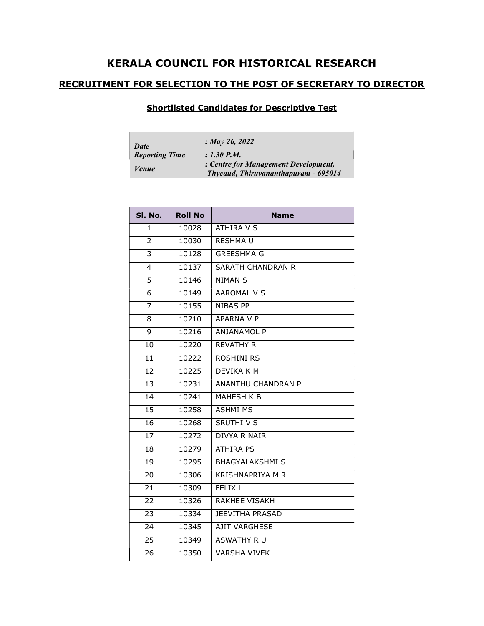## KERALA COUNCIL FOR HISTORICAL RESEARCH

## RECRUITMENT FOR SELECTION TO THE POST OF SECRETARY TO DIRECTOR

## Shortlisted Candidates for Descriptive Test

| Date                  | : May 26, 2022                                                               |
|-----------------------|------------------------------------------------------------------------------|
| <b>Reporting Time</b> | $: 1.30$ P.M.                                                                |
| Venue                 | : Centre for Management Development,<br>Thycaud, Thiruvananthapuram - 695014 |

| SI. No.         | <b>Roll No</b> | <b>Name</b>               |
|-----------------|----------------|---------------------------|
| 1               | 10028          | <b>ATHIRA V S</b>         |
| 2               | 10030          | <b>RESHMAU</b>            |
| 3               | 10128          | <b>GREESHMA G</b>         |
| 4               | 10137          | <b>SARATH CHANDRAN R</b>  |
| 5               | 10146          | <b>NIMAN S</b>            |
| 6               | 10149          | <b>AAROMAL V S</b>        |
| $\overline{7}$  | 10155          | <b>NIBAS PP</b>           |
| 8               | 10210          | APARNA V P                |
| 9               | 10216          | <b>ANJANAMOL P</b>        |
| 10              | 10220          | <b>REVATHY R</b>          |
| 11              | 10222          | <b>ROSHINI RS</b>         |
| 12              | 10225          | DEVIKA K M                |
| 13              | 10231          | <b>ANANTHU CHANDRAN P</b> |
| $\overline{14}$ | 10241          | MAHESH K B                |
| 15              | 10258          | <b>ASHMI MS</b>           |
| 16              | 10268          | SRUTHI V S                |
| 17              | 10272          | <b>DIVYA R NAIR</b>       |
| 18              | 10279          | <b>ATHIRA PS</b>          |
| 19              | 10295          | <b>BHAGYALAKSHMI S</b>    |
| 20              | 10306          | <b>KRISHNAPRIYA M R</b>   |
| 21              | 10309          | <b>FELIX L</b>            |
| 22              | 10326          | RAKHEE VISAKH             |
| 23              | 10334          | <b>JEEVITHA PRASAD</b>    |
| 24              | 10345          | <b>AJIT VARGHESE</b>      |
| 25              | 10349          | ASWATHY R U               |
| 26              | 10350          | <b>VARSHA VIVEK</b>       |